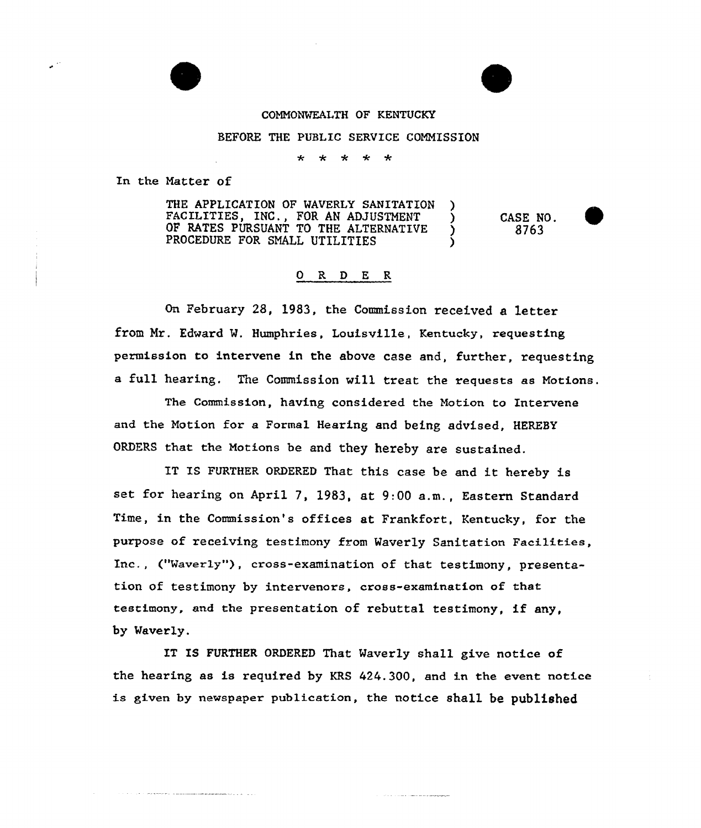## COMMONWEALTH OF KENTUCKY

## BEFORE THE PUBLIC SERVICE COMMISSION

 $\star$ 

In the Natter of

THE APPLICATION OF WAVERLY SANITATION FACILITIES, INC., FOR AN ADJUSTMENT (5)<br>OF RATES PURSUANT TO THE ALTERNATIVE OF RATES PURSUANT TO THE ALTERNATIVE PROCEDURE FOR SMALL UTILITIES

CASE NO. 8763

## 0 R <sup>D</sup> E R

On February 28, 1983, the Commission received a letter from Nr. Edward M. Humphries, Louisville, Kentucky, requesting permission to intervene in the above case and, further, requesting a full hearing. The Commission will treat the requests as Motions.

The Commission, having considered the Motion to Intervene and the Notion for a Formal Hearing and being advised, HEREBY ORDERS that the Motions be and they hereby are sustained.

IT IS FURTHER ORDERED That this case be and it hereby is set for hearing on April 7, 1983, at 9:00 a.m., Eastern Standard Time, in the Commission's offices at Frankfort, Kentucky, for the purpose of receiving testimony from Maverly Sanitation Facilities, Inc., ("Vaverly"), cross-examination of that testimony, presentation of testimony by intervenors, cross-examination of that testimony, and the presentation of rebuttal testimony, if any, by Vaverly.

IT IS FURTHER ORDERED That Naverly shall give notice of the hearing as is required by KRS 424.300, and in the event notice is given by newspaper publication, the notice shall be published